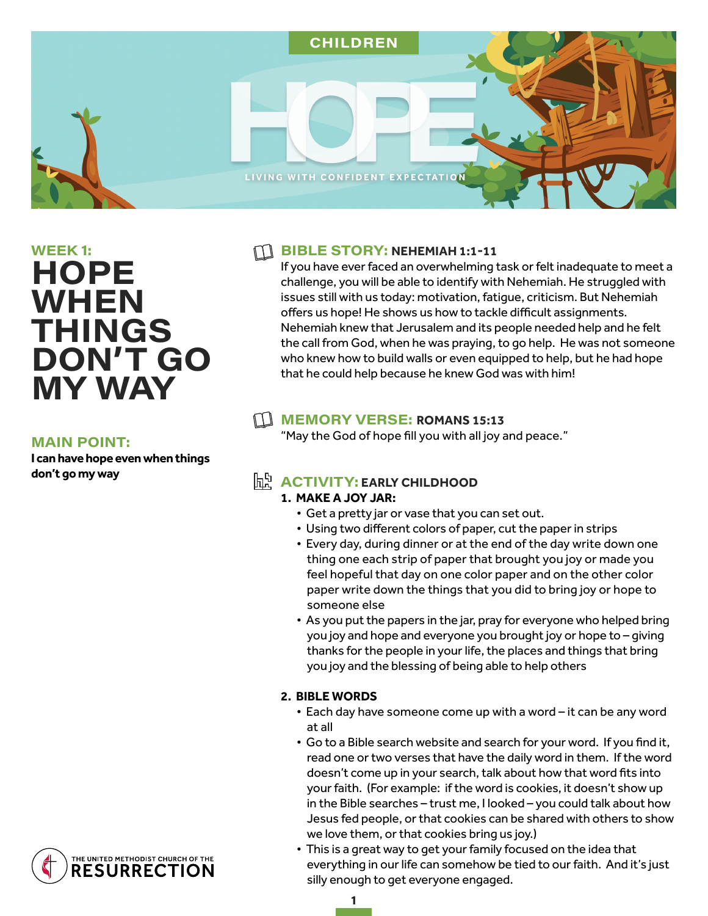

# $WEEK$  1: **HOPE WHEN THINGS** DON'T GO **MY WAY**

#### **MAIN POINT:**

**I can have hope even when things don't go my way** 

# **FIBLE STORY: NEHEMIAH 1:1-11**

If you have ever faced an overwhelming task or felt inadequate to meet a challenge, you will be able to identify with Nehemiah. He struggled with issues still with us today: motivation, fatigue, criticism. But Nehemiah offers us hope! He shows us how to tackle difficult assignments. Nehemiah knew that Jerusalem and its people needed help and he felt the call from God, when he was praying, to go help. He was not someone who knew how to build walls or even equipped to help, but he had hope that he could help because he knew God was with him!

# **MEMORY VERSE: ROMANS 15:13**

"May the God of hope fill you with all joy and peace."

# **h ACTIVITY: EARLY CHILDHOOD**

## **1. MAKE A JOY JAR:**

- Get a pretty jar or vase that you can set out.
- Using two different colors of paper, cut the paper in strips
- Every day, during dinner or at the end of the day write down one thing one each strip of paper that brought you joy or made you feel hopeful that day on one color paper and on the other color paper write down the things that you did to bring joy or hope to someone else
- As you put the papers in the jar, pray for everyone who helped bring you joy and hope and everyone you brought joy or hope to – giving thanks for the people in your life, the places and things that bring you joy and the blessing of being able to help others

## **2. BIBLE WORDS**

- Each day have someone come up with a word it can be any word at all
- Go to a Bible search website and search for your word. If you find it, read one or two verses that have the daily word in them. If the word doesn't come up in your search, talk about how that word fits into your faith. (For example: if the word is cookies, it doesn't show up in the Bible searches – trust me, I looked – you could talk about how Jesus fed people, or that cookies can be shared with others to show we love them, or that cookies bring us joy.)
- This is a great way to get your family focused on the idea that everything in our life can somehow be tied to our faith. And it's just silly enough to get everyone engaged.

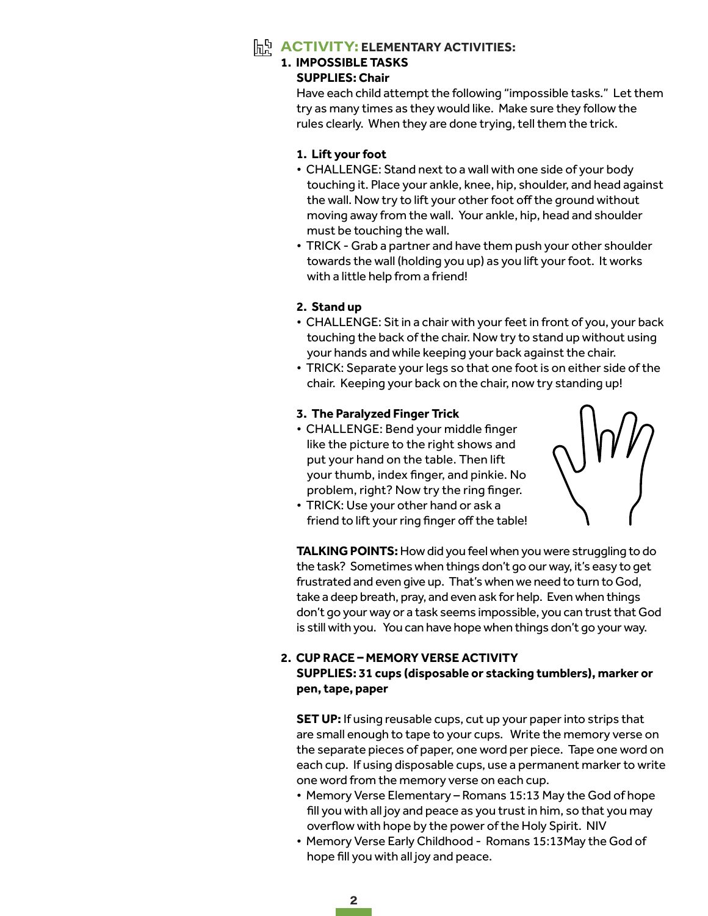# **ACTIVITY: ELEMENTARY ACTIVITIES:**

# **1. IMPOSSIBLE TASKS**

#### **SUPPLIES: Chair**

Have each child attempt the following "impossible tasks." Let them try as many times as they would like. Make sure they follow the rules clearly. When they are done trying, tell them the trick.

#### **1. Lift your foot**

- CHALLENGE: Stand next to a wall with one side of your body touching it. Place your ankle, knee, hip, shoulder, and head against the wall. Now try to lift your other foot off the ground without moving away from the wall. Your ankle, hip, head and shoulder must be touching the wall.
- TRICK Grab a partner and have them push your other shoulder towards the wall (holding you up) as you lift your foot. It works with a little help from a friend!

#### **2. Stand up**

- CHALLENGE: Sit in a chair with your feet in front of you, your back touching the back of the chair. Now try to stand up without using your hands and while keeping your back against the chair.
- TRICK: Separate your legs so that one foot is on either side of the chair. Keeping your back on the chair, now try standing up!

## **3. The Paralyzed Finger Trick**

- CHALLENGE: Bend your middle finger like the picture to the right shows and put your hand on the table. Then lift your thumb, index finger, and pinkie. No problem, right? Now try the ring finger.
- TRICK: Use your other hand or ask a friend to lift your ring finger off the table!



**TALKING POINTS:** How did you feel when you were struggling to do the task? Sometimes when things don't go our way, it's easy to get frustrated and even give up. That's when we need to turn to God, take a deep breath, pray, and even ask for help. Even when things don't go your way or a task seems impossible, you can trust that God is still with you. You can have hope when things don't go your way.

#### **2. CUP RACE – MEMORY VERSE ACTIVITY SUPPLIES: 31 cups (disposable or stacking tumblers), marker or pen, tape, paper**

**SET UP:** If using reusable cups, cut up your paper into strips that are small enough to tape to your cups. Write the memory verse on the separate pieces of paper, one word per piece. Tape one word on each cup. If using disposable cups, use a permanent marker to write one word from the memory verse on each cup.

- Memory Verse Elementary Romans 15:13 May the God of hope fill you with all joy and peace as you trust in him, so that you may overflow with hope by the power of the Holy Spirit. NIV
- Memory Verse Early Childhood Romans 15:13May the God of hope fill you with all joy and peace.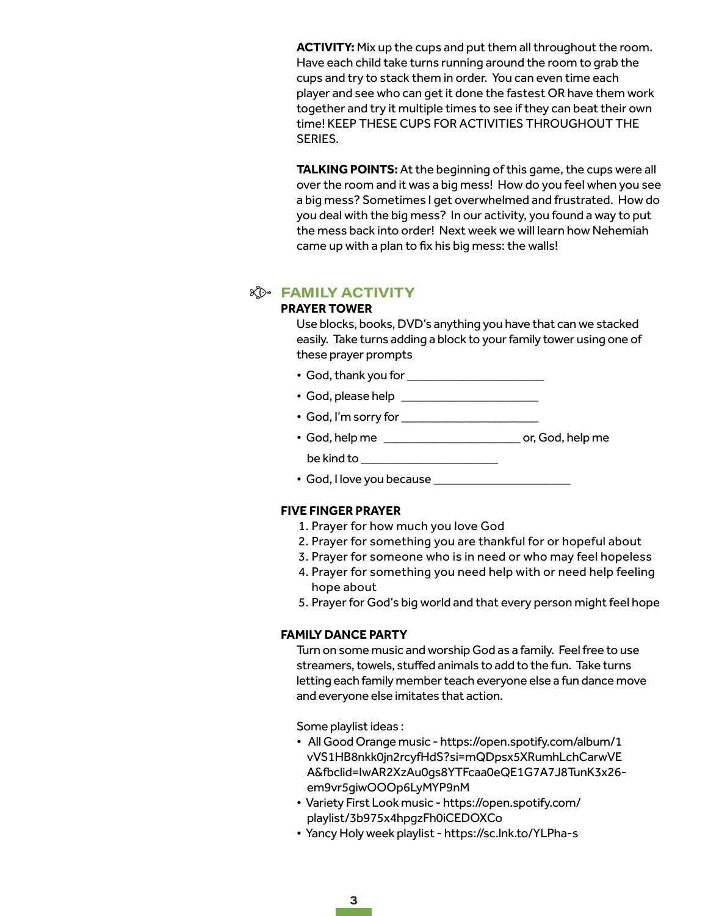**ACTIVITY:** Mix up the cups and put them all throughout the room. Have each child take turns running around the room to grab the cups and try to stack them in order. You can even time each player and see who can get it done the fastest OR have them work together and try it multiple times to see if they can beat their own time! KEEP THESE CUPS FOR ACTIVITIES THROUGHOUT THE SERIES.

**TALKING POINTS:** At the beginning of this game, the cups were all over the room and it was a big mess! How do you feel when you see a big mess? Sometimes I get overwhelmed and frustrated. How do you deal with the big mess? In our activity, you found a way to put the mess back into order! Next week we will learn how Nehemiah came up with a plan to fix his big mess: the walls!

#### *K* FAMILY ACTIVITY

#### **PRAYER TOWER**

Use blocks, books, DVD's anything you have that can we stacked easily. Take turns adding a block to your family tower using one of these prayer prompts

- God, thank you for \_\_\_\_\_\_\_\_\_\_\_\_\_\_\_\_\_\_\_\_\_\_
- God, please help \_\_\_\_\_\_\_\_\_\_\_\_\_\_\_\_\_\_\_\_\_\_
- God, I'm sorry for \_\_\_\_\_\_\_\_\_\_\_\_\_\_\_\_\_\_\_\_\_\_
- God, help me \_\_\_\_\_\_\_\_\_\_\_\_\_\_\_\_\_\_\_\_\_\_ or, God, help me be kind to \_\_\_\_\_\_\_\_\_\_\_\_\_\_\_\_\_\_\_\_\_\_
- God, I love you because \_\_\_\_\_\_\_\_\_\_\_\_\_\_\_\_\_\_\_\_\_\_

#### **FIVE FINGER PRAYER**

- 1. Prayer for how much you love God
- 2. Prayer for something you are thankful for or hopeful about
- 3. Prayer for someone who is in need or who may feel hopeless
- 4. Prayer for something you need help with or need help feeling hope about
- 5. Prayer for God's big world and that every person might feel hope

#### **FAMILY DANCE PARTY**

Turn on some music and worship God as a family. Feel free to use streamers, towels, stuffed animals to add to the fun. Take turns letting each family member teach everyone else a fun dance move and everyone else imitates that action.

Some playlist ideas :

- All Good Orange music https://open.spotify.com/album/1 vVS1HB8nkk0jn2rcyfHdS?si=mQDpsx5XRumhLchCarwVE A&fbclid=IwAR2XzAu0gs8YTFcaa0eQE1G7A7J8TunK3x26 em9vr5giwOOOp6LyMYP9nM
- Variety First Look music https://open.spotify.com/ playlist/3b975x4hpgzFh0iCEDOXCo
- Yancy Holy week playlist https://sc.lnk.to/YLPha-s